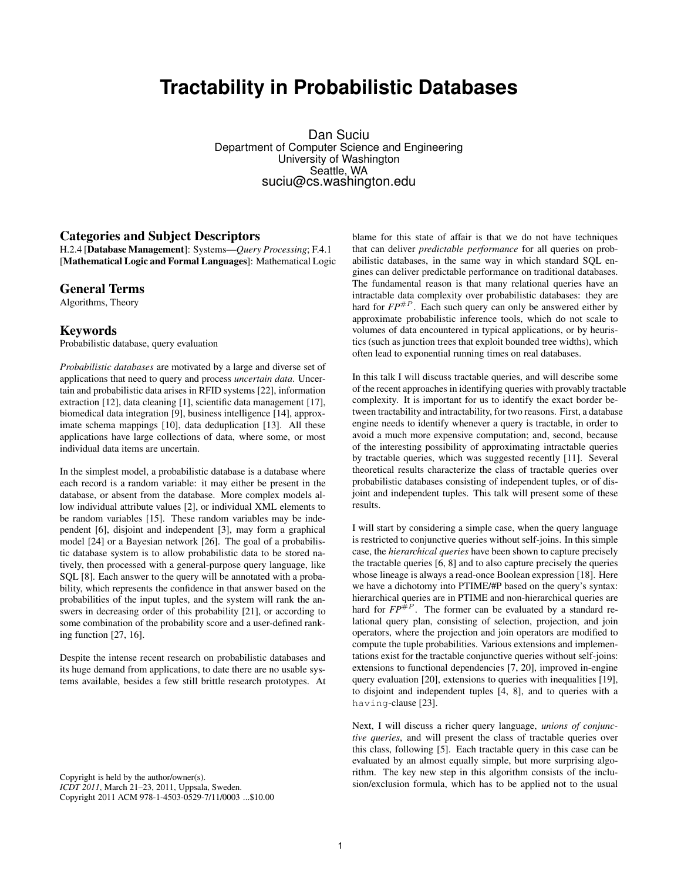# **Tractability in Probabilistic Databases**

Dan Suciu Department of Computer Science and Engineering University of Washington Seattle, WA suciu@cs.washington.edu

### **Categories and Subject Descriptors**

H.2.4 [**Database Management**]: Systems—*Query Processing*; F.4.1 [**Mathematical Logic and Formal Languages**]: Mathematical Logic

#### **General Terms**

Algorithms, Theory

# **Keywords**

Probabilistic database, query evaluation

*Probabilistic databases* are motivated by a large and diverse set of applications that need to query and process *uncertain data*. Uncertain and probabilistic data arises in RFID systems [22], information extraction [12], data cleaning [1], scientific data management [17], biomedical data integration [9], business intelligence [14], approximate schema mappings [10], data deduplication [13]. All these applications have large collections of data, where some, or most individual data items are uncertain.

In the simplest model, a probabilistic database is a database where each record is a random variable: it may either be present in the database, or absent from the database. More complex models allow individual attribute values [2], or individual XML elements to be random variables [15]. These random variables may be independent [6], disjoint and independent [3], may form a graphical model [24] or a Bayesian network [26]. The goal of a probabilistic database system is to allow probabilistic data to be stored natively, then processed with a general-purpose query language, like SQL [8]. Each answer to the query will be annotated with a probability, which represents the confidence in that answer based on the probabilities of the input tuples, and the system will rank the answers in decreasing order of this probability [21], or according to some combination of the probability score and a user-defined ranking function [27, 16].

Despite the intense recent research on probabilistic databases and its huge demand from applications, to date there are no usable systems available, besides a few still brittle research prototypes. At

Copyright is held by the author/owner(s). *ICDT 2011*, March 21–23, 2011, Uppsala, Sweden. Copyright 2011 ACM 978-1-4503-0529-7/11/0003 ...\$10.00 blame for this state of affair is that we do not have techniques that can deliver *predictable performance* for all queries on probabilistic databases, in the same way in which standard SQL engines can deliver predictable performance on traditional databases. The fundamental reason is that many relational queries have an intractable data complexity over probabilistic databases: they are hard for  $FP^{\#P}$ . Each such query can only be answered either by approximate probabilistic inference tools, which do not scale to volumes of data encountered in typical applications, or by heuristics (such as junction trees that exploit bounded tree widths), which often lead to exponential running times on real databases.

In this talk I will discuss tractable queries, and will describe some of the recent approaches in identifying queries with provably tractable complexity. It is important for us to identify the exact border between tractability and intractability, for two reasons. First, a database engine needs to identify whenever a query is tractable, in order to avoid a much more expensive computation; and, second, because of the interesting possibility of approximating intractable queries by tractable queries, which was suggested recently [11]. Several theoretical results characterize the class of tractable queries over probabilistic databases consisting of independent tuples, or of disjoint and independent tuples. This talk will present some of these results.

I will start by considering a simple case, when the query language is restricted to conjunctive queries without self-joins. In this simple case, the *hierarchical queries* have been shown to capture precisely the tractable queries [6, 8] and to also capture precisely the queries whose lineage is always a read-once Boolean expression [18]. Here we have a dichotomy into PTIME/#P based on the query's syntax: hierarchical queries are in PTIME and non-hierarchical queries are hard for  $FP^{\#P}$ . The former can be evaluated by a standard relational query plan, consisting of selection, projection, and join operators, where the projection and join operators are modified to compute the tuple probabilities. Various extensions and implementations exist for the tractable conjunctive queries without self-joins: extensions to functional dependencies [7, 20], improved in-engine query evaluation [20], extensions to queries with inequalities [19], to disjoint and independent tuples [4, 8], and to queries with a having-clause [23].

Next, I will discuss a richer query language, *unions of conjunctive queries*, and will present the class of tractable queries over this class, following [5]. Each tractable query in this case can be evaluated by an almost equally simple, but more surprising algorithm. The key new step in this algorithm consists of the inclusion/exclusion formula, which has to be applied not to the usual